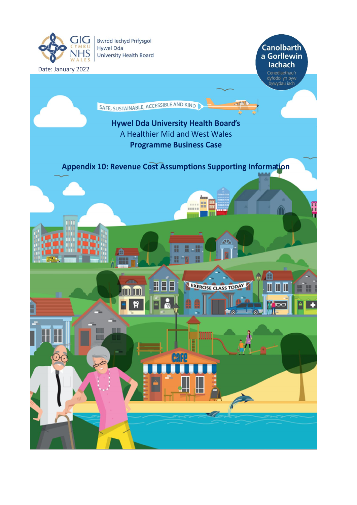

## **Canolbarth** a Gorllewin lachach

Cenedlaethau'r<br>dyfodol yn byw<br>bywydau iach

SAFE, SUSTAINABLE, ACCESSIBLE AND KIND

## **Hywel Dda University Health Board'<sup>s</sup>** A Healthier Mid and West Wales **Programme Business Case**

**Appendix 10: Revenue Cost Assumptions Supporting Information**

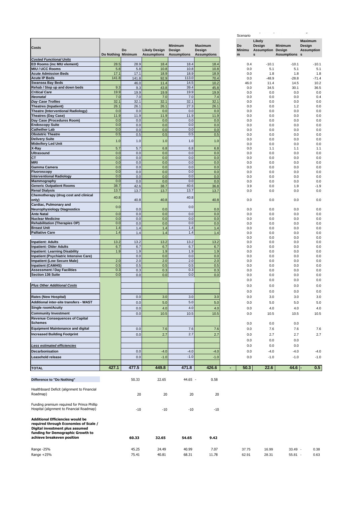|                                                                                          |                    |               |                      |                          |                          | Scenario                   |                                    |                    | $\ddot{\phantom{0}}$        |
|------------------------------------------------------------------------------------------|--------------------|---------------|----------------------|--------------------------|--------------------------|----------------------------|------------------------------------|--------------------|-----------------------------|
|                                                                                          |                    |               |                      |                          |                          |                            | Likely                             |                    | <b>Maximum</b>              |
| Costs                                                                                    |                    | Do            | <b>Likely Design</b> | <b>Minimum</b><br>Design | <b>Maximum</b><br>Design | <b>Do</b><br><b>Minimu</b> | Design<br><b>Assumption Design</b> | <b>Minimum</b>     | Design<br><b>Assumption</b> |
| <b>Costed Functional Units</b>                                                           | Do Nothing Minimum |               | <b>Assumptions</b>   | <b>Assumptions</b>       | <b>Assumptions</b>       | m                          | s                                  | <b>Assumptions</b> | s                           |
| ED Rooms (inc MIU element)                                                               | 28.5               | 28.9          | 18.4                 | 18.4                     | 18.4                     | 0.4                        | $-10.1$                            | $-10.1$            | $-10.1$                     |
| <b>MIU / UCC Rooms</b>                                                                   | 5.8                | 5.8           | 10.8                 | 10.8                     | 10.8                     | 0.0                        | 5.1                                | 5.1                | 5.1                         |
| <b>Acute Admission Beds</b>                                                              | 17.1<br>141.8      | 17.1          | 18.9                 | 18.9                     | 18.9                     | 0.0                        | 1.8                                | 1.8                | 1.8                         |
| <b>Acute IP Beds</b><br><b>Swansea Bay Beds</b>                                          |                    | 141.8<br>46.0 | 92.9<br>11.4         | 113.0<br>14.5            | 70.4<br>10.2             | 0.0<br>46.0                | $-48.9$<br>11.4                    | $-28.8$<br>14.5    | $-71.4$<br>10.2             |
| Rehab / Step up and down beds                                                            | 9.3                | 9.3           | 43.8                 | 39.4                     | 45.8                     | 0.0                        | 34.5                               | 30.1               | 36.5                        |
| <b>Critical Care</b>                                                                     | 19.9               | 19.9          | 19.9                 | 19.9                     | 19.9                     | 0.0                        | 0.0                                | 0.0                | 0.0                         |
| <b>Neonatal</b>                                                                          | 7.0                | 7.0           | 7.0                  | 7.0                      | 7.4                      | 0.0                        | 0.0                                | 0.0                | 0.4                         |
| <b>Day Case Trollies</b>                                                                 | 32.1               | 32.1          | 32.1                 | 32.1                     | 32.1                     | 0.0                        | 0.0                                | 0.0                | 0.0                         |
| <b>Theatres (Inpatient)</b>                                                              | 26.1               | 26.1          | 26.1                 | 27.3                     | 26.1                     | 0.0                        | 0.0                                | 1.2                | 0.0                         |
| <b>Theatre (Interventional Radiology)</b><br><b>Theatres (Day Case)</b>                  | 0.0<br>11.9        | 0.0<br>11.9   | 0.0<br>11.9          | 0.0<br>11.9              | 0.0<br>11.9              | 0.0<br>0.0                 | 0.0<br>0.0                         | 0.0<br>0.0         | 0.0<br>0.0                  |
| Day Case (Procedures Room)                                                               | 0.0                | 0.0           | 0.0                  | 0.0                      | 0.0                      | 0.0                        | 0.0                                | 0.0                | 0.0                         |
| <b>Endoscopy Suite</b>                                                                   | 0.0                | 0.0           | 0.0                  | 0.0                      | 0.0                      | 0.0                        | 0.0                                | 0.0                | 0.0                         |
| <b>Cathether Lab</b>                                                                     | 0.0                | 0.0           | 0.0                  | 0.0                      | 0.0                      | 0.0                        | 0.0                                | 0.0                | 0.0                         |
| <b>Obstetric Theatre</b>                                                                 | 0.5                | 0.5           | 0.5                  | 0.5                      | 0.5                      | 0.0                        | 0.0                                | 0.0                | 0.0                         |
| <b>Delivery Suite</b>                                                                    | 1.0                | 1.0           | 1.0                  | 1.0                      | 1.0                      | 0.0                        | 0.0                                | 0.0                | 0.0                         |
| <b>Midwifery Led Unit</b>                                                                |                    |               |                      |                          |                          | 0.0                        | 0.0                                | 0.0                | 0.0                         |
| X-Ray<br><b>Ultrasound</b>                                                               | 5.7<br>0.0         | 5.7<br>0.0    | 6.8<br>0.0           | 6.8<br>0.0               | 6.8<br>0.0               | 0.0<br>0.0                 | 1.1<br>0.0                         | 1.1<br>0.0         | 1.1<br>0.0                  |
| CT                                                                                       | 0.0                | 0.0           | 0.0                  | 0.0                      | 0.0                      | 0.0                        | 0.0                                | 0.0                | 0.0                         |
| <b>MRI</b>                                                                               | 0.0                | 0.0           | 0.0                  | 0.0                      | 0.0                      | 0.0                        | 0.0                                | 0.0                | 0.0                         |
| <b>Gamma Camera</b>                                                                      | 0.0                | 0.0           | 0.0                  | 0.0                      | 0.0                      | 0.0                        | 0.0                                | 0.0                | 0.0                         |
| Fluoroscopy                                                                              | 0.0                | 0.0           | 0.0                  | 0.0                      | 0.0                      | 0.0                        | 0.0                                | 0.0                | 0.0                         |
| <b>Interventional Radiology</b>                                                          | 0.0                | 0.0           | 0.0                  | 0.0                      | 0.0                      | 0.0                        | 0.0                                | 0.0                | 0.0                         |
| Mammography<br><b>Generic Outpatient Rooms</b>                                           | 0.0<br>38.7        | 0.0<br>42.6   | 0.0<br>38.7          | 0.0<br>40.6              | 0.0<br>36.8              | 0.0<br>3.9                 | 0.0<br>0.0                         | 0.0<br>1.9         | 0.0<br>$-1.9$               |
| <b>Renal Dialysis</b>                                                                    | 13.7               | 13.7          | 13.7                 | 13.7                     | 13.7                     | 0.0                        | 0.0                                | 0.0                | 0.0                         |
| Chemotherapy (drug cost and clinical                                                     |                    |               |                      |                          |                          |                            |                                    |                    |                             |
| only)                                                                                    | 40.8               | 40.8          | 40.8                 | 40.8                     | 40.8                     | 0.0                        | 0.0                                | 0.0                | 0.0                         |
| Cardiac, Pulmonary and                                                                   | 0.0                |               |                      | 0.0                      |                          |                            |                                    |                    |                             |
| <b>Neurophysiology Diagnostics</b>                                                       |                    | 0.0           | 0.0                  |                          | 0.0                      | 0.0                        | 0.0                                | 0.0                | 0.0                         |
| <b>Ante Natal</b><br><b>Nuclear Medicine</b>                                             | 0.0<br>0.0         | 0.0<br>0.0    | 0.0<br>0.0           | 0.0<br>0.0               | 0.0<br>0.0               | 0.0<br>0.0                 | 0.0<br>0.0                         | 0.0<br>0.0         | 0.0<br>0.0                  |
| <b>Rehabilitation (Therapies OP)</b>                                                     | 0.0                | 0.0           | 0.0                  | 0.0                      | 0.0                      | 0.0                        | 0.0                                | 0.0                | 0.0                         |
| <b>Breast Unit</b>                                                                       | 1.4                | 1.4           | 1.4                  | 1.4                      | 1.4                      | 0.0                        | 0.0                                | 0.0                | 0.0                         |
| <b>Palliative Care</b>                                                                   | 1.4                | 1.4           | 1.4                  | 1.4                      | 1.4                      | 0.0                        | 0.0                                | 0.0                | 0.0                         |
|                                                                                          |                    |               |                      |                          |                          | 0.0                        | 0.0                                | 0.0                | 0.0                         |
| <b>Inpatient: Adults</b>                                                                 | 13.2               | 13.2          | 13.2                 | 13.2                     | 13.2                     | 0.0                        | 0.0                                | 0.0                | 0.0                         |
| <b>Inpatient: Older Adults</b><br><b>Inpatient: Learning Disability</b>                  | 6.7                | 6.7           | 6.7                  | 6.7<br>1.9               | 6.7                      | 0.0                        | 0.0                                | 0.0                | 0.0                         |
| <b>Inpatient (Psychiatric Intensive Care)</b>                                            | 1.9                | 1.9<br>0.0    | 1.9<br>0.0           | 0.0                      | 1.9<br>0.0               | 0.0<br>0.0                 | 0.0<br>0.0                         | 0.0<br>0.0         | 0.0<br>0.0                  |
| <b>Impatient (Low Secure Male)</b>                                                       | 2.0                | 2.0           | 2.0                  | 2.0                      | 2.0                      | 0.0                        | 0.0                                | 0.0                | 0.0                         |
| <b>Inpatient (CAMHS)</b>                                                                 | 0.5                | 0.5           | 0.5                  | 0.5                      | 0.5                      | 0.0                        | 0.0                                | 0.0                | 0.0                         |
| <b>Assessment / Day Facilities</b>                                                       | 0.3                | 0.3           | 0.3                  | 0.3                      | 0.3                      | 0.0                        | 0.0                                | 0.0                | 0.0                         |
| Section 136 Suite                                                                        | 0.0                | 0.0           | 0.0                  | 0.0                      | 0.0                      | 0.0                        | 0.0                                | 0.0                | 0.0                         |
|                                                                                          |                    |               |                      |                          |                          | 0.0                        | 0.0                                | 0.0                | 0.0                         |
| <b>Plus Other Additional Costs</b>                                                       |                    |               |                      |                          |                          | 0.0                        | 0.0                                | 0.0                | 0.0                         |
|                                                                                          |                    |               |                      |                          |                          | 0.0                        | 0.0                                | 0.0                | 0.0                         |
| <b>Rates (New Hospital)</b>                                                              |                    | 0.0           | 3.0                  | 3.0                      | 3.0                      | 0.0                        | 3.0                                | 3.0                | 3.0                         |
| Additional inter-site transfers - WAST                                                   |                    | 0.0           | 5.0                  | 5.0                      | 5.0                      | 0.0                        | 5.0                                | 5.0                | 5.0                         |
| <b>Single room/Acuity</b>                                                                |                    | 0.0           | 4.0                  | 4.0                      | 4.0                      | 0.0                        | 4.0                                | 4.0                | 4.0                         |
| <b>Community Investment</b>                                                              |                    | 0.0           | 10.5                 | 10.5                     | 10.5                     | 0.0                        | 10.5                               | 10.5               | 10.5                        |
| <b>Revenue Consequences of Capital</b>                                                   |                    |               |                      |                          |                          |                            |                                    |                    |                             |
| <b>Schemes</b>                                                                           |                    |               |                      |                          |                          | 0.0                        | 0.0                                | 0.0                |                             |
| <b>Equipment Maintenance and digital</b>                                                 |                    | 0.0           | 7.6                  | 7.6                      | 7.6                      | 0.0                        | 7.6                                | 7.6                | 7.6                         |
| <b>Increased Building Footprint</b>                                                      |                    | 0.0           | 2.7                  | 2.7                      | 2.7                      | 0.0                        | 2.7                                | 2.7                | 2.7                         |
|                                                                                          |                    |               |                      |                          |                          | 0.0                        | 0.0                                | 0.0                |                             |
| Less estimated efficiencies                                                              |                    |               |                      |                          |                          | 0.0                        | 0.0                                | 0.0                |                             |
| Decarbonisation                                                                          |                    | 0.0           | $-4.0$               | $-4.0$                   | $-4.0$                   | 0.0                        | $-4.0$                             | $-4.0$             | $-4.0$                      |
| Leasehold release                                                                        |                    | 0.0           | $-1.0$               | $-1.0$                   | $-1.0$                   | 0.0                        | $-1.0$                             | $-1.0$             | $-1.0$                      |
|                                                                                          |                    |               |                      |                          |                          |                            |                                    |                    |                             |
| <b>TOTAL</b>                                                                             | 427.1              | 477.5         | 449.8                | 471.8                    | 426.6                    | 50.3<br>$\blacksquare$     | 22.6                               | 44.6               | 0.5                         |
|                                                                                          |                    |               |                      |                          |                          |                            |                                    |                    |                             |
| Difference to "Do Nothing"                                                               |                    | 50.33         | 22.65                | 44.65 -                  | 0.58                     |                            |                                    |                    |                             |
|                                                                                          |                    |               |                      |                          |                          |                            |                                    |                    |                             |
| Healthboard Deficit (alignment to Financial                                              |                    |               |                      |                          |                          |                            |                                    |                    |                             |
| Roadmap)                                                                                 |                    | 20            | 20                   | 20                       | 20                       |                            |                                    |                    |                             |
|                                                                                          |                    |               |                      |                          |                          |                            |                                    |                    |                             |
| Funding premium required for Prince Phillip<br>Hospital (alignment to Financial Roadmap) |                    | $-10$         | $-10$                | $-10$                    | $-10$                    |                            |                                    |                    |                             |
|                                                                                          |                    |               |                      |                          |                          |                            |                                    |                    |                             |
| <b>Additional Efficiencies would be</b>                                                  |                    |               |                      |                          |                          |                            |                                    |                    |                             |
| required through Economies of Scale /                                                    |                    |               |                      |                          |                          |                            |                                    |                    |                             |
| Digital investment plus assumed                                                          |                    |               |                      |                          |                          |                            |                                    |                    |                             |
| funding for Demographic Growth to                                                        |                    |               |                      |                          |                          |                            |                                    |                    |                             |
| achieve breakeven position                                                               |                    | 60.33         | 32.65                | 54.65                    | 9.42                     |                            |                                    |                    |                             |
|                                                                                          |                    |               |                      |                          |                          |                            |                                    |                    |                             |
| Range -25%                                                                               |                    | 45.25         | 24.49                | 40.99                    | 7.07                     | 37.75                      | 16.99                              | 33.49 -            | 0.38                        |
| Range $+25%$                                                                             |                    | 75.41         | 40.81                | 68.31                    | 11.78                    | 62.91                      | 28.31                              | $55.81 -$          | 0.63                        |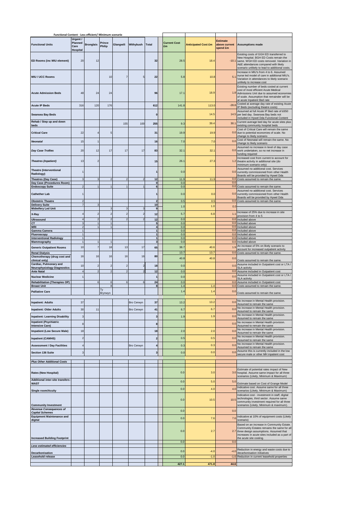| Functional Content - Less efficient/ Minimum scenario                            |                                         |                  |                  |           |            |                                         |                           |                            |                                       |                                                                                                                                                                                                                        |
|----------------------------------------------------------------------------------|-----------------------------------------|------------------|------------------|-----------|------------|-----------------------------------------|---------------------------|----------------------------|---------------------------------------|------------------------------------------------------------------------------------------------------------------------------------------------------------------------------------------------------------------------|
| <b>Functional Units</b>                                                          | Urgent /<br>Planned<br>Care<br>Hospital | <b>Bronglais</b> | Prince<br>Philip | Glangwili | Withybush  | <b>Total</b>                            | <b>Current Cost</b><br>£m | <b>Anticipated Cost £m</b> | Estimate<br>above current<br>spend £m | <b>Assumptions made</b>                                                                                                                                                                                                |
| ED Rooms (inc MIU element)                                                       | 20                                      | 12               |                  |           |            | 32                                      | 28.5                      | 18.4                       | $-10.1$                               | Existing costs of GGH ED transferred to<br>New Hospital. BGH ED Costs remain the<br>same. WGH ED costs removed. Variation in<br>A&E attendances compared with likely<br>scenario unlikely to lead to additional costs. |
| <b>MIU / UCC Rooms</b>                                                           |                                         |                  | 10               |           | 5          | 22                                      | 5.8                       | 10.8                       | 5.1                                   | Increase in MIU's from 4 to 6. Assumed<br>nurse led model of care in additional MIU's.<br>Variation in attendances to likely scenario<br>unlikely to increase cost                                                     |
| <b>Acute Admission Beds</b>                                                      | 48                                      | 24               | 24               |           |            | 96                                      | 17.1                      | 18.9                       |                                       | Existing number of beds costed at current<br>cost of most efficient Acute Medical<br>1.8 Admissions Unit due to assumed economies<br>of scale. Assumption that remainder will be<br>at acute Inpatient Bed rate        |
| <b>Acute IP Beds</b>                                                             | 316                                     | 120              | 176              |           |            | 612                                     | 141.8                     | 113.0                      | $-28.8$                               | Costed at average day rate of existing Acute<br>IP Beds (excluding theatre costs)                                                                                                                                      |
| <b>Swansea Bay Beds</b>                                                          |                                         |                  |                  |           |            | $\mathbf 0$                             |                           | 14.5                       | 14.5                                  | Assumed at full Acute IP Bed rate of £650<br>per bed day. Swansea Bay beds not                                                                                                                                         |
| Rehab / Step up and down                                                         |                                         |                  |                  | 155       | 100        | 255                                     | 9.3                       | 39.4                       | 30.1                                  | ncluded in Hywel Dda Functional Content<br>Current average bed day for acute sites plus                                                                                                                                |
| <u>beds</u><br><b>Critical Care</b>                                              | 22                                      |                  |                  |           |            | 31                                      | 19.9                      | 19.9                       | 0.0                                   | existing community hospital beds<br>Cost of Critical Care will remain the same<br>due to potential economies of scale. No                                                                                              |
|                                                                                  |                                         |                  |                  |           |            |                                         |                           |                            |                                       | change to likely scenario<br>Cost of Neonatal will remain the same. No                                                                                                                                                 |
| Neonatal                                                                         | 15                                      |                  |                  |           |            | 16                                      | 7.0                       | 7.0                        | 0.0                                   | change to likely scenario<br>Assumed no increase in level of day case                                                                                                                                                  |
| <b>Day Case Trollies</b>                                                         | 20                                      | 12               | 17               | 17        | 17         | 83                                      | 32.1                      | 32.1                       | 0.0                                   | work undertaken, so no net increase in<br>unding required                                                                                                                                                              |
| <b>Theatres (Inpatient)</b>                                                      | 13                                      |                  |                  |           |            | 15                                      | 26.1                      | 27.3                       | 1.2                                   | Increased cost from current to account for<br>theatre activity in additional site (do<br>minimum scenario only)                                                                                                        |
| <b>Theatre (Interventional</b><br>Radiology)                                     |                                         |                  |                  |           |            |                                         | 0.0                       |                            | 0.0                                   | Assumed no additional cost. Services<br>currently commissioned from other Health<br>Boards will be provided by Hywel Dda                                                                                               |
| <b>Theatres (Day Case)</b><br>Day Case (Procedures Room)                         |                                         |                  |                  |           |            | 12<br>$\mathbf 0$                       | 11.9<br>0.0               | 11.9                       | 0.0                                   | 0.0 Costs assumed to remain the same.                                                                                                                                                                                  |
| <b>Endoscopy Suite</b><br><b>Cathether Lab</b>                                   |                                         |                  |                  |           |            | 6                                       | 0.0<br>0.0                | 0.0                        | 0.0                                   | 0.0 Costs assumed to remain the same.<br>Assumed no additional cost. Services<br>currently commissioned from other Health                                                                                              |
| <b>Obstetric Theatre</b>                                                         |                                         |                  |                  |           |            | $\overline{\phantom{a}}$                | 0.5                       | 0.5                        |                                       | Boards will be provided by Hywel Dda<br>0.0 Costs assumed to remain the same.                                                                                                                                          |
| <b>Delivery Suite</b><br><b>Midwifery Led Unit</b>                               | $\overline{7}$                          |                  |                  |           |            | 10<br>9                                 | 1.0                       | 1.0                        | 0.0                                   |                                                                                                                                                                                                                        |
| X-Ray                                                                            |                                         |                  |                  |           |            | 12                                      | 5.7                       | 6.8                        | 1.1                                   | Increase of 25% due to increase in site<br>provision from 4 to 5                                                                                                                                                       |
| <b>Ultrasound</b><br>СT                                                          |                                         |                  |                  |           |            | 12<br>5                                 | 0.0<br>0.0                |                            | 0.0<br>0.0                            | Included above<br>Included above                                                                                                                                                                                       |
| <b>MRI</b><br>Gamma Camera                                                       |                                         |                  |                  |           |            | $\overline{\mathbf{4}}$<br>$\mathbf{1}$ | 0.0<br>0.0                |                            | 0.0                                   | Included above<br>0.0 Included above                                                                                                                                                                                   |
| Fluoroscopy<br><b>Interventional Radiology</b>                                   | $\mathbf{1}$<br>$\mathbf{1}$            |                  |                  |           |            | $\mathbf{1}$<br>$\mathbf{1}$            | 0.0<br>0.0                |                            |                                       | 0.0 Included above<br>0.0 Included above                                                                                                                                                                               |
| Mammography<br><b>Generic Outpatient Rooms</b>                                   | $\mathbf{1}$<br>10                      |                  | 18               | 13        | 17         | $\mathbf{3}$<br>65                      | 0.0<br>38.7               | 40.6                       | 1.9                                   | 0.0 Included above<br>An increase of 5% on likely scenario to<br>account for increased outpatient activity                                                                                                             |
| <b>Renal Dialysis</b><br>Chemotherapy (drug cost and                             | 16                                      | 16               | 16               | 16        | 16         | 80                                      | 13.7                      | 13.7                       |                                       | 0.0 Costs assumed to remain the same.                                                                                                                                                                                  |
| clinical only)<br>Cardiac, Pulmonary and<br><b>Neurophysiology Diagnostics</b>   | 10                                      |                  |                  |           |            | 18                                      | 40.8<br>0.0               | 40.8                       | 0.0<br>0.0                            | Costs assumed to remain the same.<br>Assume included in Outpatient cost or LTA<br><b>SLA activity</b>                                                                                                                  |
| <b>Ante Natal</b>                                                                | $\Delta$                                |                  |                  |           |            | 12                                      | 0.0                       |                            | 0.0<br>0.0                            | Assume included in Outpatient cost<br>Assume included in Outpatient cost or LTA /                                                                                                                                      |
| <b>Nuclear Medicine</b><br><b>Rehabilitation (Therapies OP)</b>                  |                                         |                  | $\epsilon$       |           | 6          | 24                                      | 0.0<br>0.0                |                            | 0.0                                   | <b>SLA activity</b><br>Assume included in Outpatient cost                                                                                                                                                              |
| <b>Breast Unit</b><br><b>Palliative Care</b>                                     |                                         |                  |                  |           |            | 8                                       | 1.4<br>1.4                | 1.4<br>1.4                 | 0.0<br>0. <sub>C</sub>                | Costs assumed to remain the same.                                                                                                                                                                                      |
|                                                                                  |                                         |                  | Brynwyn          |           |            |                                         |                           |                            |                                       | Costs assumed to remain the same.                                                                                                                                                                                      |
| <b>Inpatient: Adults</b>                                                         | 37                                      |                  |                  |           | Bro Cerwyn | 37                                      | 13.2                      | 13.2                       | 0.0                                   | No increase in Mental Health provision.<br>Assumed to remain the same                                                                                                                                                  |
| <b>Inpatient: Older Adults</b>                                                   | 30                                      | 11               |                  |           | Bro Cerwyn | 41                                      | 6.7                       | 6.7                        | 0.0                                   | No increase in Mental Health provision.<br>Assumed to remain the same<br>No increase in Mental Health provision.                                                                                                       |
| <b>Inpatient: Learning Disability</b><br><b>Inpatient (Psychiatric</b>           | 3                                       |                  |                  |           |            | $\mathbf{3}$                            | 1.9                       | 1.9                        | 0.0                                   | Assumed to remain the same<br>No increase in Mental Health provision.                                                                                                                                                  |
| <b>Intensive Care)</b>                                                           | 8                                       |                  |                  |           |            | 8                                       |                           |                            | 0.0                                   | Assumed to remain the same<br>No increase in Mental Health provision.                                                                                                                                                  |
| <b>Impatient (Low Secure Male)</b>                                               | 18<br>$\overline{c}$                    |                  |                  |           |            | 18                                      | 2.0<br>0.5                | 2.0<br>0.5                 | 0.0<br>0.0                            | Assumed to remain the same<br>No increase in Mental Health provision.                                                                                                                                                  |
| <b>Inpatient (CAMHS)</b><br><b>Assessment / Day Facilities</b>                   |                                         |                  |                  |           | Bro Cerwyn | $\mathbf 2$<br>4                        | 0.3                       | 0.3                        | 0.0                                   | Assumed to remain the same<br>No increase in Mental Health provision.                                                                                                                                                  |
| <b>Section 136 Suite</b>                                                         | 3                                       |                  |                  |           |            | $\mathbf{3}$                            | 0.0                       | 0.0                        | 0.0                                   | Assumed to remain the same<br>Assume this is currently included in the low                                                                                                                                             |
| <b>Plus Other Additional Costs</b>                                               |                                         |                  |                  |           |            |                                         |                           |                            |                                       | secure male or other MH inpatient cost                                                                                                                                                                                 |
| <b>Rates (New Hospital)</b>                                                      |                                         |                  |                  |           |            |                                         | 0.0                       | 3.0                        |                                       | Estimate of potential rates impact of New<br>3.0 hospital. Assume same impact for all three                                                                                                                            |
| <b>Additional inter-site transfers</b><br>WAST                                   |                                         |                  |                  |           |            |                                         | 0.0                       | 5.0                        | 5.0                                   | scenarios (Likely, Minimum & Maximum)<br>Estimate based on Cost of Grange Model                                                                                                                                        |
| Single room/Acuity                                                               |                                         |                  |                  |           |            |                                         | 0.0                       | 4.0                        | 4.0                                   | Indicative cost. Assume same for all three<br>scenarios (Likely, Minimum & Maximum)                                                                                                                                    |
|                                                                                  |                                         |                  |                  |           |            |                                         | 0.0                       | 10.5                       | 10.5                                  | Indicative cost - investment in staff, digital<br>technologies, third sector. Assume same<br>community investment required for all three                                                                               |
| <b>Community Investment</b><br>Revenue Consequences of<br><b>Capital Schemes</b> |                                         |                  |                  |           |            |                                         | 0.0                       |                            | 0.0                                   | scenarios (Likely, Minimum & maximum).                                                                                                                                                                                 |
| <b>Equipment Maintenance and</b><br>digital                                      |                                         |                  |                  |           |            |                                         | 0.0                       | 7.6                        | 7.6                                   | Indicative at 10% of equipment costs (Likely<br>scenario)                                                                                                                                                              |
| <b>Increased Building Footprint</b>                                              |                                         |                  |                  |           |            |                                         | 0.0                       | 2.7                        |                                       | Based on an increase in Community Estate.<br>Community Estates remains the same for all<br>2.7 three design assumptions. Assumed that<br>ncreases in acute sites included as a part of<br>the acute site costing.      |
| Less estimated efficiencies                                                      |                                         |                  |                  |           |            |                                         | 0.0                       |                            | 0.0                                   |                                                                                                                                                                                                                        |
| Decarbonisation                                                                  |                                         |                  |                  |           |            |                                         | 0.0                       | $-4.0$                     | $-4.0$                                | Reduction in energy and waste costs due to<br>decarbonisation initiatives                                                                                                                                              |
| Leasehold release                                                                |                                         |                  |                  |           |            |                                         | 0.0                       | $-1.0$                     |                                       | -1.0 Reduction in current leasehold properties                                                                                                                                                                         |
|                                                                                  |                                         |                  |                  |           |            |                                         | 427.1                     | 471.8                      | 44.6                                  |                                                                                                                                                                                                                        |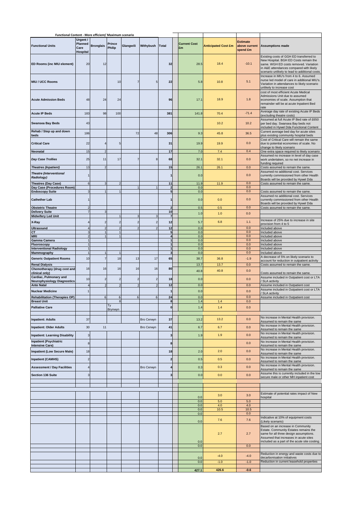| Functional Content - More efficient/ Maximum scenario                       |                                           |                          |                  |                         |                |                              |    |                     |              |                            |                                              |                                                                                                                                                                                                                        |
|-----------------------------------------------------------------------------|-------------------------------------------|--------------------------|------------------|-------------------------|----------------|------------------------------|----|---------------------|--------------|----------------------------|----------------------------------------------|------------------------------------------------------------------------------------------------------------------------------------------------------------------------------------------------------------------------|
| <b>Functional Units</b>                                                     | Urgent /<br>Planned<br>Care<br>Hospital   | <b>Bronglais</b>         | Prince<br>Philip | Glangwili               | Withybush      | <b>Total</b>                 | £m | <b>Current Cost</b> |              | <b>Anticipated Cost £m</b> | <b>Estimate</b><br>above current<br>spend £m | <b>Assumptions made</b>                                                                                                                                                                                                |
| ED Rooms (inc MIU element)                                                  | 20                                        | 12                       |                  |                         |                | 32                           |    |                     | 28.5         | 18.4                       | $-10.1$                                      | Existing costs of GGH ED transferred to<br>New Hospital. BGH ED Costs remain the<br>same. WGH ED costs removed. Variation<br>in A&E attendances compared with likely<br>scenario unlikely to lead to additional costs. |
| MIU / UCC Rooms                                                             |                                           |                          | 10               | $\overline{7}$          | 5 <sub>1</sub> | 22                           |    |                     | 5.8          | 10.8                       | 5.1                                          | Increase in MIU's from 4 to 6. Assumed<br>nurse led model of care in additional MIU's.<br>Variation in attendances to likely scenario<br>unlikely to increase cost                                                     |
| <b>Acute Admission Beds</b>                                                 | 48                                        | 24                       | 24               |                         |                | 96                           |    |                     | 17.1         | 18.9                       | 1.8                                          | cost of most efficient Acute Medical<br>Admissions Unit due to assumed<br>economies of scale. Assumption that<br>remainder will be at acute Inpatient Bed<br>rate                                                      |
| <b>Acute IP Beds</b>                                                        | 183                                       | 98                       | 100              |                         |                | 381                          |    |                     | 141.8        | 70.4                       | $-71.4$                                      | Average day rate of existing Acute IP Beds<br>(excluding theatre costs)                                                                                                                                                |
| <b>Swansea Bay Beds</b>                                                     | 43                                        |                          |                  |                         |                |                              |    |                     |              | 10.2                       | 10.2                                         | Assumed at full Acute IP Bed rate of £650<br>per bed day. Swansea Bay beds not<br>included in Hywel Dda Functional Content                                                                                             |
| Rehab / Step up and down<br>beds                                            | 186                                       |                          |                  | 72                      | 48             | 306                          |    |                     | 9.3          | 45.8                       | 36.5                                         | Current average bed day for acute sites<br>plus existing community hospital beds                                                                                                                                       |
| <b>Critical Care</b>                                                        | 22                                        | $\overline{4}$           | 5                |                         |                | 31                           |    |                     | 19.9         | 19.9                       | 0.0                                          | Cost of Critical Care will remain the same<br>due to potential economies of scale. No<br>change to likely scenario                                                                                                     |
| Neonatal                                                                    | 15                                        | $\overline{\phantom{a}}$ |                  |                         |                | 17                           |    |                     | 7.0          | 7.4                        | 0.4                                          | One extra space required to likely scenario<br>Assumed no increase in level of day case                                                                                                                                |
| Day Case Trollies                                                           | 25                                        | 11                       | 17               | $\overline{7}$          | 8              | 68                           |    |                     | 32.1         | 32.1                       | 0.0                                          | work undertaken, so no net increase in<br>funding required                                                                                                                                                             |
| <b>Theatres (Inpatient)</b><br><b>Theatre (Interventional</b><br>Radiology) | 13<br>$\overline{1}$                      | 2                        |                  |                         |                | 15<br>1                      |    |                     | 26.1<br>0.0  | 26.1                       | 0.0<br>0.0                                   | Costs assumed to remain the same.<br>Assumed no additional cost. Services<br>currently commissioned from other Health<br>Boards will be provided by Hywel Dda                                                          |
| Theatres (Day Case)                                                         | $6\phantom{1}6$                           |                          |                  |                         |                | 11<br>$\overline{2}$         |    |                     | 11.9<br>0.0  | 11.9                       | 0.0<br>0.0                                   | Costs assumed to remain the same.                                                                                                                                                                                      |
| Day Case (Procedures Room)<br><b>Endoscopy Suite</b>                        |                                           |                          |                  |                         |                | $5\phantom{.0}$              |    |                     | 0.0          |                            | 0.0                                          | Costs assumed to remain the same.                                                                                                                                                                                      |
| <b>Cathether Lab</b>                                                        | 1<br>$\overline{2}$                       |                          |                  |                         |                | $\mathbf{1}$                 |    |                     | 0.0          | 0.0                        | 0.0<br>0.0                                   | Assumed no additional cost. Services<br>currently commissioned from other Health<br>Boards will be provided by Hywel Dda                                                                                               |
| <b>Obstetric Theatre</b><br><b>Delivery Suite</b>                           | $\overline{7}$                            |                          |                  |                         |                | $\mathbf 2$<br>10            |    |                     | 0.5<br>1.0   | 0.5<br>1.0                 | 0.0                                          | Costs assumed to remain the same.                                                                                                                                                                                      |
| <b>Midwifery Led Unit</b>                                                   |                                           |                          |                  |                         |                | $\overline{7}$               |    |                     |              |                            |                                              | Increase of 25% due to increase in site                                                                                                                                                                                |
| X-Ray                                                                       | $\overline{\mathbf{r}}$<br>4              | $\overline{c}$           | 2                | $\overline{\mathbf{c}}$ | $\overline{2}$ | 12<br>12                     |    |                     | 5.7<br>0.0   | 6.8                        | 1.1<br>0.0                                   | provision from 4 to 5<br>Included above                                                                                                                                                                                |
| Ultrasound<br>CТ                                                            | 3                                         |                          |                  |                         |                | 5                            |    |                     | 0.0          |                            | 0.0                                          | Included above                                                                                                                                                                                                         |
| MRI                                                                         | $\overline{\mathbf{c}}$<br>$\overline{1}$ |                          |                  |                         |                | 4                            |    |                     | 0.0          |                            | 0.0                                          | Included above                                                                                                                                                                                                         |
| Gamma Camera<br>Fluoroscopy                                                 |                                           |                          |                  |                         |                | $\mathbf{1}$<br>$\mathbf{1}$ |    |                     | 0.0<br>0.0   |                            | 0.0<br>0.0                                   | Included above<br>Included above                                                                                                                                                                                       |
| <b>Interventional Radiology</b>                                             | $\overline{1}$                            |                          |                  |                         |                | $\mathbf{1}$                 |    |                     | 0.0          |                            | 0.0                                          | Included above                                                                                                                                                                                                         |
| <b>Mammography</b>                                                          |                                           |                          |                  |                         |                | 3                            |    |                     | 0.0          |                            | 0.0                                          | Included above<br>A decrease of 5% on likely scenario to                                                                                                                                                               |
| <b>Generic Outpatient Rooms</b>                                             | 10                                        | $\overline{7}$           | 18               | 13                      | 17             | 65                           |    |                     | 38.7         | 36.8                       | $-1.9$                                       | account for reduction in outpatient activity                                                                                                                                                                           |
| <b>Renal Dialysis</b><br>Chemotherapy (drug cost and<br>clinical only)      | 16                                        | 16                       | 16               | 16                      | 16             | 80                           |    |                     | 13.7<br>40.8 | 13.7<br>40.8               | 0.0<br>0.0                                   | Costs assumed to remain the same.<br>Costs assumed to remain the same.                                                                                                                                                 |
| Cardiac, Pulmonary and<br><b>Neurophysiology Diagnostics</b>                | 10                                        | $\overline{2}$           | $\overline{2}$   | $\overline{2}$          | $\overline{2}$ | 18                           |    |                     | 0.0          |                            | 0.0                                          | Assume included in Outpatient cost or LTA<br>SLA activity                                                                                                                                                              |
| <b>Ante Natal</b>                                                           | $\overline{4}$                            |                          |                  |                         |                | 12                           |    |                     | 0.0          |                            | 0.0                                          | Assume included in Outpatient cost<br>Assume included in Outpatient cost or LTA                                                                                                                                        |
| <b>Nuclear Medicine</b>                                                     |                                           |                          |                  |                         |                | 1                            |    |                     | 0.0          |                            | 0.0                                          | SLA activity                                                                                                                                                                                                           |
| <b>Rehabilitation (Therapies OP)</b><br>Breast Unit                         |                                           | 6                        | 6                | 6                       | 6              | 24                           |    |                     | 0.0<br>1.4   |                            | 0.0<br>0.0                                   | Assume included in Outpatient cost                                                                                                                                                                                     |
| <b>Palliative Care</b>                                                      |                                           |                          | Ty               |                         |                | $\pmb{0}$                    |    |                     | 1.4          | 1.4                        | 0.0                                          |                                                                                                                                                                                                                        |
|                                                                             |                                           |                          | Brynwyn          |                         |                |                              |    |                     |              |                            |                                              | No increase in Mental Health provision.                                                                                                                                                                                |
| <b>Inpatient: Adults</b>                                                    | 37                                        |                          |                  |                         | Bro Cerwyn     | 37                           |    |                     | 13.2         | 13.2                       | 0.0                                          | Assumed to remain the same                                                                                                                                                                                             |
| <b>Inpatient: Older Adults</b>                                              | 30                                        | 11                       |                  |                         | Bro Cerwyn     | 41                           |    |                     | 6.7          | 6.7                        | 0.0                                          | No increase in Mental Health provision.<br>Assumed to remain the same                                                                                                                                                  |
| <b>Inpatient: Learning Disability</b>                                       | 3                                         |                          |                  |                         |                | 3                            |    |                     | 1.9          | 1.9                        | 0.0                                          | No increase in Mental Health provision.<br>Assumed to remain the same                                                                                                                                                  |
| <b>Inpatient (Psychiatric</b><br><b>Intensive Care)</b>                     | 8                                         |                          |                  |                         |                | 8                            |    |                     |              |                            | 0.0                                          | No increase in Mental Health provision.<br>Assumed to remain the same                                                                                                                                                  |
| <b>Impatient (Low Secure Male)</b>                                          | 18                                        |                          |                  |                         |                | 18                           |    |                     | 2.0          | 2.0                        | 0.0                                          | No increase in Mental Health provision.                                                                                                                                                                                |
| <b>Inpatient (CAMHS)</b>                                                    | $\overline{2}$                            |                          |                  |                         |                | $\overline{\mathbf{c}}$      |    |                     | 0.5          | 0.5                        | 0.0                                          | Assumed to remain the same<br>No increase in Mental Health provision.                                                                                                                                                  |
| <b>Assessment / Day Facilities</b>                                          |                                           |                          |                  |                         | Bro Cerwyn     | 4                            |    |                     | 0.3          | 0.3                        | 0.0                                          | Assumed to remain the same<br>No increase in Mental Health provision.                                                                                                                                                  |
| <b>Section 136 Suite</b>                                                    | G                                         |                          |                  |                         |                | 3                            |    |                     | 0.0          | 0.0                        | 0.0                                          | Assumed to remain the same<br>Assume this is currently included in the low<br>secure male or other MH inpatient cost                                                                                                   |
|                                                                             |                                           |                          |                  |                         |                |                              |    |                     |              |                            |                                              |                                                                                                                                                                                                                        |
|                                                                             |                                           |                          |                  |                         |                |                              |    |                     |              |                            |                                              |                                                                                                                                                                                                                        |
|                                                                             |                                           |                          |                  |                         |                |                              |    |                     | 0.0          | 3.0                        | 3.0                                          | Estimate of potential rates impact of New<br>hospital                                                                                                                                                                  |
|                                                                             |                                           |                          |                  |                         |                |                              |    |                     | 0.0<br>0.0   | $5.0\,$<br>4.0             | $5.0\,$<br>4.0                               |                                                                                                                                                                                                                        |
|                                                                             |                                           |                          |                  |                         |                |                              |    |                     | 0.0<br>0.0   | 10.5                       | 10.5<br>$0.0\,$                              |                                                                                                                                                                                                                        |
|                                                                             |                                           |                          |                  |                         |                |                              |    |                     | 0.0          | 7.6                        | 7.6                                          | Indicative at 10% of equipment costs<br>(Likely scenario)                                                                                                                                                              |
|                                                                             |                                           |                          |                  |                         |                |                              |    |                     | 0.0          | 2.7                        | 2.7                                          | Based on an increase in Community<br>Estate. Community Estates remains the<br>same for all three design assumptions.<br>Assumed that increases in acute sites<br>included as a part of the acute site costing.         |
|                                                                             |                                           |                          |                  |                         |                |                              |    |                     | 0.0          |                            | 0.0                                          |                                                                                                                                                                                                                        |
|                                                                             |                                           |                          |                  |                         |                |                              |    |                     |              | $-4.0$                     | $-4.0$                                       | Reduction in energy and waste costs due to                                                                                                                                                                             |
|                                                                             |                                           |                          |                  |                         |                |                              |    |                     | 0.0<br>0.0   | $-1.0$                     | $-1.0$                                       | decarbonisation initiatives<br>Reduction in current leasehold properties                                                                                                                                               |
|                                                                             |                                           |                          |                  |                         |                |                              |    |                     |              |                            |                                              |                                                                                                                                                                                                                        |
|                                                                             |                                           |                          |                  |                         |                |                              |    |                     | 427.1        | 426.6                      | $-0.6$                                       |                                                                                                                                                                                                                        |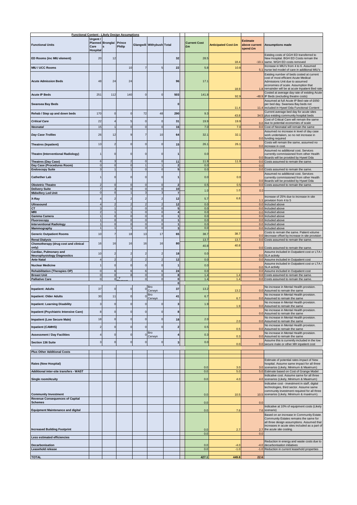| <b>Functional Content - Likely Design Assumptions</b>                      |                                     |                         |                                      |                            |                                  |                              |                           |                            |                                              |                                                                                                                                                            |
|----------------------------------------------------------------------------|-------------------------------------|-------------------------|--------------------------------------|----------------------------|----------------------------------|------------------------------|---------------------------|----------------------------|----------------------------------------------|------------------------------------------------------------------------------------------------------------------------------------------------------------|
| <b>Functional Units</b>                                                    | Urgent /<br>Care<br><b>Hospital</b> | Planned Bronglai Prince | <b>Philip</b>                        |                            | <b>Glangwili Withybush Total</b> |                              | <b>Current Cost</b><br>£m | <b>Anticipated Cost £m</b> | <b>Estimate</b><br>above current<br>spend £m | <b>Assumptions made</b>                                                                                                                                    |
| ED Rooms (inc MIU element)                                                 | 20                                  | 12                      |                                      |                            |                                  | 32                           | 28.5                      |                            |                                              | Existing costs of GGH ED transferred to<br>New Hospital. BGH ED Costs remain the                                                                           |
| MIU / UCC Rooms                                                            |                                     |                         | 10                                   | $\overline{7}$             | 5                                | 22                           | 5.8                       | 18.4<br>10.8               | $-10.1$                                      | same. WGH ED costs removed<br>Increase in MIU's from 4 to 6. Assumed                                                                                       |
|                                                                            |                                     |                         |                                      |                            |                                  |                              |                           |                            | 5.1                                          | nurse led model of care in additional MIU's                                                                                                                |
| <b>Acute Admission Beds</b>                                                | 48                                  | 24                      | 24                                   |                            |                                  | 96                           | 17.1                      |                            |                                              | Existing number of beds costed at current<br>cost of most efficient Acute Medical<br>Admissions Unit due to assumed<br>economies of scale. Assumption that |
| <b>Acute IP Beds</b>                                                       | 251                                 | 112                     | 140                                  | $\overline{0}$             | $\mathbf 0$                      | 503                          | 141.8                     | 18.9<br>92.9               |                                              | 1.8 remainder will be at acute Inpatient Bed rate<br>Costed at average day rate of existing Acute<br>-48.9 IP Beds (excluding theatre costs)               |
| <b>Swansea Bay Beds</b>                                                    |                                     |                         |                                      |                            |                                  | $\mathbf 0$                  |                           | 11.4                       | 11.4                                         | Assumed at full Acute IP Bed rate of £650<br>per bed day. Swansea Bay beds not<br>included in Hywel Dda Functional Content                                 |
| Rehab / Step up and down beds                                              | 170                                 | $\Omega$                | $\Omega$                             | 72                         | 48                               | 290                          | 9.3                       | 43.8                       |                                              | Current average bed day for acute sites<br>34.5 plus existing community hospital beds                                                                      |
| <b>Critical Care</b>                                                       | 22                                  |                         |                                      | $\overline{0}$             | $\mathbf 0$                      | 31                           | 19.9                      | 19.9                       |                                              | Cost of Critical Care will remain the same<br>0.0 due to potential economies of scale                                                                      |
| <b>Neonatal</b>                                                            | 15                                  |                         | $\Omega$                             | $\Omega$                   | $\Omega$                         | 16                           | 7.0                       | 7.0                        |                                              | 0.0 Cost of Neonatal will remain the same                                                                                                                  |
| Day Case Trollies                                                          | 26                                  | 12                      | 9                                    | 7                          | 10                               | 64                           | 32.1                      | 32.1                       |                                              | Assumed no increase in level of day case<br>work undertaken, so no net increase in<br>0.0 funding required                                                 |
| Theatres (Inpatient)                                                       | 13                                  | $\overline{2}$          | $\Omega$                             | $\Omega$                   | $\mathbf 0$                      | 15                           | 26.1                      | 26.1                       |                                              | Costs will remain the same, assumed no<br>0.0 increase in cost.                                                                                            |
| Theatre (Interventional Radiology)                                         |                                     | $\mathbf 0$             | $\Omega$                             | $\overline{0}$             | $\mathbf 0$                      |                              | 0.0                       |                            | 0.0                                          | Assumed no additional cost. Services<br>currently commissioned from other Health<br>Boards will be provided by Hywel Dda                                   |
| <b>Theatres (Day Case)</b><br>Day Case (Procedures Room)                   |                                     | $\mathbf 0$             | $\overline{\phantom{a}}$<br>$\Omega$ | $\Omega$                   |                                  | 11<br>$\overline{2}$         | 11.9<br>0.0               | 11.9                       | 0.0<br>0.0                                   | Costs assumed to remain the same.                                                                                                                          |
| <b>Endoscopy Suite</b>                                                     |                                     |                         |                                      | $\mathbf 0$                | $\Omega$                         | 5                            | 0.0                       |                            |                                              | 0.0 Costs assumed to remain the same.                                                                                                                      |
| <b>Cathether Lab</b>                                                       |                                     | $\mathbf 0$             | $\mathbf 0$                          | $\overline{0}$             | 0                                |                              | 0.0                       | 0.0                        |                                              | Assumed no additional cost. Services<br>currently commissioned from other Health<br>0.0 Boards will be provided by Hywel Dda                               |
| <b>Obstetric Theatre</b>                                                   |                                     | $\sqrt{2}$              |                                      |                            |                                  | 2                            | 0.5                       | 0.5                        |                                              | 0.0 Costs assumed to remain the same                                                                                                                       |
| <b>Delivery Suite</b><br>Midwifery Led Unit                                |                                     | $\Omega$                | $\Omega$                             | $\Omega$                   |                                  | 10<br>$\overline{7}$         | 1.0                       | 1.0                        | 0.0                                          |                                                                                                                                                            |
| X-Ray                                                                      |                                     |                         |                                      | 2                          |                                  | 12                           | 5.7                       | 6.8                        | 1.1                                          | Increase of 25% due to increase in site                                                                                                                    |
| <b>Ultrasound</b>                                                          |                                     |                         |                                      | $\overline{2}$             |                                  | 12                           | 0.0                       |                            |                                              | provision from 4 to 5<br>0.0 Included above                                                                                                                |
| СT<br><b>MRI</b>                                                           |                                     |                         |                                      | $\Omega$<br>$\Omega$       | $\Omega$<br>$\Omega$             | 5                            | 0.0<br>0.0                |                            |                                              | 0.0 Included above<br>0.0 Included above                                                                                                                   |
| Gamma Camera                                                               |                                     | $\Omega$                | $\Omega$                             | $\Omega$                   | $\Omega$                         |                              | 0.0                       |                            |                                              | 0.0 Included above                                                                                                                                         |
| Fluoroscopy<br><b>Interventional Radiology</b>                             |                                     | $\mathbf 0$<br>$\Omega$ | $\mathbf 0$<br>$\Omega$              | $\mathbf 0$<br>$\mathbf 0$ | $\mathbf 0$<br>$\mathbf 0$       | 1<br>$\overline{1}$          | 0.0<br>0.0                |                            |                                              | 0.0 Included above<br>0.0 Included above                                                                                                                   |
| Mammography                                                                |                                     |                         |                                      | $\mathbf 0$                | $\sqrt{2}$                       | $\overline{\mathbf{3}}$      | 0.0                       |                            |                                              | 0.0 Included above                                                                                                                                         |
| <b>Generic Outpatient Rooms</b><br><b>Renal Dialysis</b>                   | 10                                  | 7                       | 18                                   | 13                         | 17                               | 65                           | 38.7<br>13.7              | 38.7<br>13.7               | 0.0                                          | Costs to remain the same. Patient volume<br>decrease offset by increase in site provision<br>0.0 Costs assumed to remain the same.                         |
| Chemotherapy (drug cost and clinical<br>only)                              | 16                                  | 16                      | 16                                   | 16                         | 16                               | 80                           | 40.8                      | 40.8                       |                                              | 0.0 Costs assumed to remain the same                                                                                                                       |
| Cardiac, Pulmonary and<br>Neurophysiology Diagnostics<br><b>Ante Natal</b> | 10                                  | $\overline{2}$          |                                      | 2                          | 2                                | 18<br>12                     | 0.0<br>0.0                |                            | 0.0                                          | Assume included in Outpatient cost or LTA /<br><b>SLA activity</b><br>0.0 Assume included in Outpatient cost                                               |
| <b>Nuclear Medicine</b>                                                    |                                     | $\mathbf 0$             | $\Omega$                             | $\Omega$                   | $\mathbf 0$                      |                              | 0.0                       |                            |                                              | Assume included in Outpatient cost or LTA /                                                                                                                |
| <b>Rehabilitation (Therapies OP)</b>                                       | $\Omega$                            | 6                       | $\mathbf{6}$                         | 6                          | 6                                | 24                           | 0.0                       |                            |                                              | 0.0 SLA activity<br>0.0 Assume included in Outpatient cost                                                                                                 |
| <b>Breast Unit</b>                                                         | $\overline{0}$                      | $\mathbf 0$             | 8                                    | $\overline{0}$             |                                  | 8                            | 1.4                       | 1.4                        |                                              | 0.0 Costs assumed to remain the same.                                                                                                                      |
| <b>Palliative Care</b>                                                     | $\mathbf 0$                         | $\mathbf 0$             |                                      | $\overline{0}$             |                                  | $\mathbf{0}$<br>$\mathbf{0}$ | 1.4                       | 1.4                        |                                              | 0.0 Costs assumed to remain the same.                                                                                                                      |
| <b>Inpatient: Adults</b>                                                   | 37                                  | $\mathbf 0$             | $\Omega$                             |                            | <b>Bro</b><br>Cerwyn             | 37                           | 13.2                      | 13.2                       |                                              | No increase in Mental Health provision.<br>0.0 Assumed to remain the same                                                                                  |
| <b>Inpatient: Older Adults</b>                                             | 30                                  | 11                      | $\Omega$                             |                            | Bro<br>Cerwyn                    | 41                           | 6.7                       | 6.7                        |                                              | No increase in Mental Health provision.<br>0.0 Assumed to remain the same                                                                                  |
| <b>Inpatient: Learning Disability</b>                                      | 3                                   | $\circ$                 | $\mathbf 0$                          | $\mathbf 0$                | $\mathbf 0$                      | $\mathbf{3}$                 | 1.9                       | 1.9                        |                                              | No increase in Mental Health provision.<br>0.0 Assumed to remain the same                                                                                  |
| Inpatient (Psychiatric Intensive Care)                                     | 8                                   | $\mathbf 0$             | $\Omega$                             | $\Omega$                   | $\Omega$                         | 8                            |                           |                            |                                              | No increase in Mental Health provision.<br>0.0 Assumed to remain the same                                                                                  |
| <b>Impatient (Low Secure Male)</b>                                         | 18                                  | $\overline{0}$          | $\mathbf 0$                          | $\overline{0}$             | $\mathbf 0$                      | 18                           | 2.0                       | 2.0                        |                                              | No increase in Mental Health provision.<br>0.0 Assumed to remain the same                                                                                  |
| <b>Inpatient (CAMHS)</b>                                                   | $\overline{\phantom{a}}$            | $\overline{0}$          | $\overline{0}$                       | $\Omega$                   | $\Omega$                         | $\overline{\mathbf{c}}$      | 0.5                       | 0.5                        |                                              | No increase in Mental Health provision.<br>0.0 Assumed to remain the same                                                                                  |
| <b>Assessment / Day Facilities</b>                                         |                                     | $\overline{0}$          |                                      |                            | <b>Bro</b>                       | 4                            | 0.3                       |                            |                                              | No increase in Mental Health provision.                                                                                                                    |
|                                                                            |                                     |                         |                                      |                            | Cerwyn                           |                              |                           | 0.3                        |                                              | 0.0 Assumed to remain the same<br>Assume this is currently included in the low                                                                             |
| <b>Section 136 Suite</b>                                                   |                                     | $\Omega$                | $\Omega$                             | $\Omega$                   | $\overline{0}$                   | 3                            | 0.0                       | 0.0                        |                                              | 0.0 secure male or other MH inpatient cost                                                                                                                 |
| <b>Plus Other Additional Costs</b>                                         |                                     |                         |                                      |                            |                                  |                              |                           |                            |                                              |                                                                                                                                                            |
|                                                                            |                                     |                         |                                      |                            |                                  |                              |                           |                            |                                              | Estimate of potential rates impact of New                                                                                                                  |
| Rates (New Hospital)                                                       |                                     |                         |                                      |                            |                                  |                              | 0.0                       | 3.0                        |                                              | hospital. Assume same impact for all three<br>3.0 scenarios (Likely, Minimum & Maximum)                                                                    |
| Additional inter-site transfers - WAST                                     |                                     |                         |                                      |                            |                                  |                              | 0.0                       | 5.0                        |                                              | 5.0 Estimate based on Cost of Grange Model                                                                                                                 |
| Single room/Acuity                                                         |                                     |                         |                                      |                            |                                  |                              | 0.0                       | 4.0                        |                                              | Indicative cost. Assume same for all three<br>4.0 scenarios (Likely, Minimum & Maximum)                                                                    |
|                                                                            |                                     |                         |                                      |                            |                                  |                              |                           |                            |                                              | Indicative cost - investment in staff, digital<br>technologies, third sector. Assume same<br>community investment required for all three                   |
| <b>Community Investment</b><br><b>Revenue Consequences of Capital</b>      |                                     |                         |                                      |                            |                                  |                              | 0.0                       | 10.5                       |                                              | 10.5 scenarios (Likely, Minimum & maximum).                                                                                                                |
| <b>Schemes</b>                                                             |                                     |                         |                                      |                            |                                  |                              | 0.0                       |                            | 0.0                                          |                                                                                                                                                            |
| <b>Equipment Maintenance and digital</b>                                   |                                     |                         |                                      |                            |                                  |                              | 0.0                       | 7.6                        | 7.6                                          | Indicative at 10% of equipment costs (Likely<br>scenario)                                                                                                  |
|                                                                            |                                     |                         |                                      |                            |                                  |                              |                           |                            |                                              | Based on an increase in Community Estate.<br>Community Estates remains the same for<br>all three design assumptions. Assumed that                          |
| <b>Increased Building Footprint</b>                                        |                                     |                         |                                      |                            |                                  |                              | 0. <sub>C</sub><br>0.0    | 2.7                        | 2.7<br>0.0                                   | increases in acute sites included as a part of<br>the acute site costing.                                                                                  |
| Less estimated efficiencies                                                |                                     |                         |                                      |                            |                                  |                              |                           |                            |                                              |                                                                                                                                                            |
| Decarbonisation<br>Leasehold release                                       |                                     |                         |                                      |                            |                                  |                              | 0.0<br>0.0                | -4.0<br>$-1.0$             | $-4.0$                                       | Reduction in energy and waste costs due to<br>decarbonisation initiatives<br>-1.0 Reduction in current leasehold properties                                |
|                                                                            |                                     |                         |                                      |                            |                                  |                              |                           |                            |                                              |                                                                                                                                                            |
| <b>TOTAL</b>                                                               |                                     |                         |                                      |                            |                                  |                              | 427.1                     | 449.8                      | 22.6                                         |                                                                                                                                                            |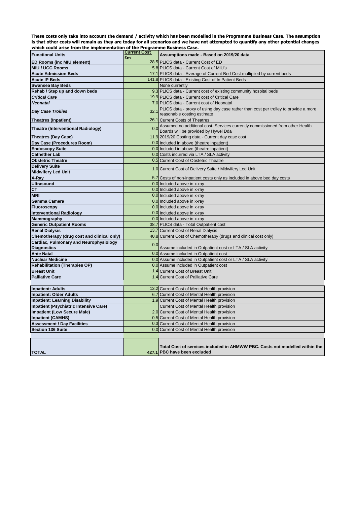**These costs only take into account the demand / activity which has been modelled in the Programme Business Case. The assumption is that other costs will remain as they are today for all scenarios and we have not attempted to quantify any other potential changes which could arise from the implementation of the Programme Business Case.** 

| <b>Functional Units</b>                               | <b>Current Cost</b> | Assumptions made - Based on 2019/20 data                                                                             |  |  |  |  |
|-------------------------------------------------------|---------------------|----------------------------------------------------------------------------------------------------------------------|--|--|--|--|
| <b>ED Rooms (inc MIU element)</b>                     | £m                  | 28.5 PLICS data - Current Cost of ED                                                                                 |  |  |  |  |
| <b>MIU / UCC Rooms</b>                                |                     | 5.8 PLICS data - Current Cost of MIU's                                                                               |  |  |  |  |
| <b>Acute Admission Beds</b>                           |                     | 17.1 PLICS data - Average of Current Bed Cost multiplied by current beds                                             |  |  |  |  |
| <b>Acute IP Beds</b>                                  |                     | 141.8 PLICS data - Existing Cost of In Patient Beds                                                                  |  |  |  |  |
|                                                       |                     |                                                                                                                      |  |  |  |  |
| <b>Swansea Bay Beds</b>                               |                     | None currently                                                                                                       |  |  |  |  |
| Rehab / Step up and down beds<br><b>Critical Care</b> |                     | 9.3 PLICS data - Current cost of existing community hospital beds<br>19.9 PLICS data - Current cost of Critical Care |  |  |  |  |
| <b>Neonatal</b>                                       |                     | 7.0 PLICS data - Current cost of Neonatal                                                                            |  |  |  |  |
|                                                       |                     |                                                                                                                      |  |  |  |  |
| <b>Day Case Trollies</b>                              | 32.1                | PLICS data - proxy of using day case rather than cost per trolley to provide a more<br>reasonable costing estimate   |  |  |  |  |
| <b>Theatres (Inpatient)</b>                           |                     | 26.1 Current Costs of Theatres                                                                                       |  |  |  |  |
|                                                       |                     | Assumed no additional cost. Services currently commissioned from other Health                                        |  |  |  |  |
| <b>Theatre (Interventional Radiology)</b>             | 0.0                 | Boards will be provided by Hywel Dda                                                                                 |  |  |  |  |
| <b>Theatres (Day Case)</b>                            |                     | 11.9 2019/20 Costing data - Current day case cost                                                                    |  |  |  |  |
| Day Case (Procedures Room)                            |                     | 0.0 Included in above (theatre inpatient)                                                                            |  |  |  |  |
| <b>Endoscopy Suite</b>                                |                     | 0.0 Included in above (theatre inpatient)                                                                            |  |  |  |  |
| <b>Cathether Lab</b>                                  |                     | 0.0 Costs incurred via LTA / SLA activity                                                                            |  |  |  |  |
| <b>Obstetric Theatre</b>                              |                     | 0.5 Current Cost of Obstetric Theatre                                                                                |  |  |  |  |
| <b>Delivery Suite</b>                                 |                     |                                                                                                                      |  |  |  |  |
| <b>Midwifery Led Unit</b>                             |                     | 1.0 Current Cost of Delivery Suite / Midwifery Led Unit                                                              |  |  |  |  |
| X-Ray                                                 |                     | 5.7 Costs of non-inpatient costs only as included in above bed day costs                                             |  |  |  |  |
| <b>Ultrasound</b>                                     |                     | 0.0 Included above in x-ray                                                                                          |  |  |  |  |
| <b>CT</b>                                             |                     | 0.0 Included above in x-ray                                                                                          |  |  |  |  |
| <b>MRI</b>                                            |                     | 0.0 Included above in x-ray                                                                                          |  |  |  |  |
| Gamma Camera                                          |                     | 0.0 Included above in x-ray                                                                                          |  |  |  |  |
| <b>Fluoroscopy</b>                                    |                     | 0.0 Included above in x-ray                                                                                          |  |  |  |  |
| <b>Interventional Radiology</b>                       |                     | 0.0 Included above in x-ray                                                                                          |  |  |  |  |
| Mammography                                           |                     | 0.0 Included above in x-ray                                                                                          |  |  |  |  |
| <b>Generic Outpatient Rooms</b>                       |                     | 38.7 PLICS data - Total Outpatient cost                                                                              |  |  |  |  |
| <b>Renal Dialysis</b>                                 |                     | 13.7 Current Cost of Renal Dialysis                                                                                  |  |  |  |  |
| Chemotherapy (drug cost and clinical only)            |                     | 40.8 Current Cost of Chemotherapy (drugs and clinical cost only)                                                     |  |  |  |  |
| Cardiac, Pulmonary and Neurophysiology                |                     |                                                                                                                      |  |  |  |  |
| <b>Diagnostics</b>                                    | 0.0                 | Assume included in Outpatient cost or LTA / SLA activity                                                             |  |  |  |  |
| <b>Ante Natal</b>                                     |                     | 0.0 Assume included in Outpatient cost                                                                               |  |  |  |  |
| <b>Nuclear Medicine</b>                               |                     | 0.0 Assume included in Outpatient cost or LTA / SLA activity                                                         |  |  |  |  |
| <b>Rehabilitation (Therapies OP)</b>                  |                     | 0.0 Assume included in Outpatient cost                                                                               |  |  |  |  |
| <b>Breast Unit</b>                                    |                     | 1.4 Current Cost of Breast Unit                                                                                      |  |  |  |  |
| <b>Palliative Care</b>                                |                     | 1.4 Current Cost of Palliative Care                                                                                  |  |  |  |  |
|                                                       |                     |                                                                                                                      |  |  |  |  |
| <b>Inpatient: Adults</b>                              |                     | 13.2 Current Cost of Mental Health provision                                                                         |  |  |  |  |
| <b>Inpatient: Older Adults</b>                        |                     | 6.7 Current Cost of Mental Health provision                                                                          |  |  |  |  |
| <b>Inpatient: Learning Disability</b>                 |                     | 1.9 Current Cost of Mental Health provision                                                                          |  |  |  |  |
| Inpatient (Psychiatric Intensive Care)                |                     | Current Cost of Mental Health provision                                                                              |  |  |  |  |
| <b>Impatient (Low Secure Male)</b>                    |                     | 2.0 Current Cost of Mental Health provision                                                                          |  |  |  |  |
| <b>Inpatient (CAMHS)</b>                              |                     | 0.5 Current Cost of Mental Health provision                                                                          |  |  |  |  |
| <b>Assessment / Day Facilities</b>                    |                     | 0.3 Current Cost of Mental Health provision                                                                          |  |  |  |  |
| <b>Section 136 Suite</b>                              |                     | 0.0 Current Cost of Mental Health provision                                                                          |  |  |  |  |
|                                                       |                     |                                                                                                                      |  |  |  |  |
|                                                       |                     |                                                                                                                      |  |  |  |  |
|                                                       |                     | Total Cost of services included in AHMWW PBC. Costs not modelled within the                                          |  |  |  |  |
| <b>TOTAL</b>                                          |                     | 427.1 PBC have been excluded                                                                                         |  |  |  |  |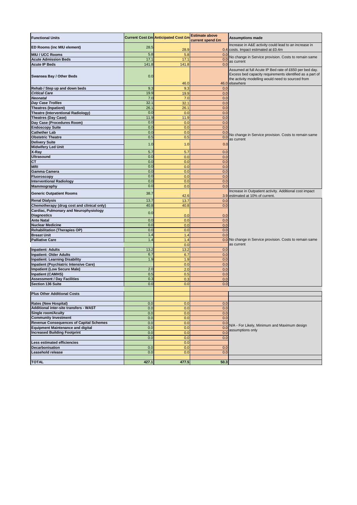| <b>Functional Units</b>                                                         |            | <b>Current Cost £m Anticipated Cost £m</b> | <b>Estimate above</b><br>current spend £m | <b>Assumptions made</b>                                                                                                                                                                   |
|---------------------------------------------------------------------------------|------------|--------------------------------------------|-------------------------------------------|-------------------------------------------------------------------------------------------------------------------------------------------------------------------------------------------|
| ED Rooms (inc MIU element)                                                      | 28.5       | 28.9                                       | 0.4                                       | Increase in A&E activity could lead to an increase in<br>costs. Impact estimated at £0.4m                                                                                                 |
| <b>MIU / UCC Rooms</b>                                                          | 5.8        | 5.8                                        | 0.0                                       |                                                                                                                                                                                           |
| <b>Acute Admission Beds</b>                                                     | 17.1       | 17.1                                       | 0.0                                       | No change in Service provision. Costs to remain same                                                                                                                                      |
| <b>Acute IP Beds</b>                                                            | 141.8      | 141.8                                      | 0.0                                       | as current                                                                                                                                                                                |
| Swansea Bay / Other Beds                                                        | 0.0        | 46.0                                       |                                           | Assumed at full Acute IP Bed rate of £650 per bed day.<br>Excess bed capacity requirements identified as a part of<br>the activity modelling would need to sourced from<br>46.0 elsewhere |
| Rehab / Step up and down beds                                                   | 9.3        | 9.3                                        | 0.0                                       |                                                                                                                                                                                           |
| <b>Critical Care</b>                                                            | 19.9       | 19.9                                       | 0.0                                       |                                                                                                                                                                                           |
| <b>Neonatal</b>                                                                 | 7.0        | 7.0                                        | 0.0                                       |                                                                                                                                                                                           |
| <b>Day Case Trollies</b>                                                        | 32.1       | 32.1                                       | 0.0                                       |                                                                                                                                                                                           |
| <b>Theatres (Inpatient)</b>                                                     | 26.1       | 26.1                                       | 0.0                                       |                                                                                                                                                                                           |
| <b>Theatre (Interventional Radiology)</b>                                       | 0.0        | 0.0                                        | 0.0                                       |                                                                                                                                                                                           |
| <b>Theatres (Day Case)</b>                                                      | 11.9       | 11.9                                       | 0.0                                       |                                                                                                                                                                                           |
| Day Case (Procedures Room)<br><b>Endoscopy Suite</b>                            | 0.0<br>0.0 | 0.0<br>0.0                                 | 0.0<br>0.0                                |                                                                                                                                                                                           |
| <b>Cathether Lab</b>                                                            | 0.0        | 0.0                                        | 0.0                                       |                                                                                                                                                                                           |
| <b>Obstetric Theatre</b>                                                        | 0.5        | 0.5                                        | 0.0                                       | No change in Service provision. Costs to remain same                                                                                                                                      |
| <b>Delivery Suite</b>                                                           |            |                                            |                                           | as current                                                                                                                                                                                |
| <b>Midwifery Led Unit</b>                                                       | 1.0        | 1.0                                        | 0.0                                       |                                                                                                                                                                                           |
| X-Ray                                                                           | 5.7        | 5.7                                        | 0.0                                       |                                                                                                                                                                                           |
| <b>Ultrasound</b>                                                               | 0.0        | 0.0                                        | 0.0                                       |                                                                                                                                                                                           |
| CT                                                                              | 0.0        | 0.0                                        | 0.0                                       |                                                                                                                                                                                           |
| <b>MRI</b>                                                                      | 0.0        | 0.0                                        | 0.0                                       |                                                                                                                                                                                           |
| Gamma Camera                                                                    | 0.0        | 0.0                                        | 0.0                                       |                                                                                                                                                                                           |
| Fluoroscopy                                                                     | 0.0        | 0.0                                        | 0.0                                       |                                                                                                                                                                                           |
| <b>Interventional Radiology</b>                                                 | 0.0        | 0.0                                        | 0.0                                       |                                                                                                                                                                                           |
| Mammography                                                                     | 0.0        | 0.0                                        | 0.0                                       |                                                                                                                                                                                           |
| <b>Generic Outpatient Rooms</b>                                                 | 38.7       | 42.6                                       |                                           | Increase in Outpatient activity. Additional cost impact<br>3.9 estimated at 10% of current.                                                                                               |
| <b>Renal Dialysis</b>                                                           | 13.7       | 13.7                                       | 0.0                                       |                                                                                                                                                                                           |
| Chemotherapy (drug cost and clinical only)                                      | 40.8       | 40.8                                       | 0.0                                       |                                                                                                                                                                                           |
| Cardiac, Pulmonary and Neurophysiology<br><b>Diagnostics</b>                    | 0.0        | 0.0                                        | 0.0                                       |                                                                                                                                                                                           |
| <b>Ante Natal</b>                                                               | 0.0        | 0.0                                        | 0.0                                       |                                                                                                                                                                                           |
| <b>Nuclear Medicine</b>                                                         | 0.0        | 0.0                                        | 0.0                                       |                                                                                                                                                                                           |
| <b>Rehabilitation (Therapies OP)</b>                                            | 0.0        | 0.0                                        | 0.0                                       |                                                                                                                                                                                           |
| <b>Breast Unit</b>                                                              | 1.4        | 1.4                                        | 0.0                                       |                                                                                                                                                                                           |
| <b>Palliative Care</b>                                                          | 1.4        | 1.4                                        |                                           | 0.0 No change in Service provision. Costs to remain same                                                                                                                                  |
|                                                                                 |            | 0.0                                        |                                           | as current                                                                                                                                                                                |
| <b>Inpatient: Adults</b>                                                        | 13.2       | 13.2                                       | 0.0                                       |                                                                                                                                                                                           |
| <b>Inpatient: Older Adults</b>                                                  | 6.7        | 6.7                                        | 0.0                                       |                                                                                                                                                                                           |
| <b>Inpatient: Learning Disability</b><br>Inpatient (Psychiatric Intensive Care) | 1.9        | 1.9<br>0.0                                 | 0.0<br>0.0                                |                                                                                                                                                                                           |
| <b>Impatient (Low Secure Male)</b>                                              | 2.0        | 2.0                                        | 0.0                                       |                                                                                                                                                                                           |
| <b>Inpatient (CAMHS)</b>                                                        | 0.5        | 0.5                                        | 0.0                                       |                                                                                                                                                                                           |
| <b>Assessment / Day Facilities</b>                                              | 0.3        | 0.3                                        | 0.0                                       |                                                                                                                                                                                           |
| Section 136 Suite                                                               | 0.0        | 0.0                                        | 0.0                                       |                                                                                                                                                                                           |
|                                                                                 |            |                                            |                                           |                                                                                                                                                                                           |
| <b>Plus Other Additional Costs</b>                                              |            |                                            |                                           |                                                                                                                                                                                           |
|                                                                                 |            |                                            |                                           |                                                                                                                                                                                           |
| <b>Rates (New Hospital)</b><br>Additional inter-site transfers - WAST           | 0.0        | 0.0                                        | 0.0                                       |                                                                                                                                                                                           |
| <b>Single room/Acuity</b>                                                       | 0.0        | 0.0<br>0.0                                 | 0.0<br>0.0                                |                                                                                                                                                                                           |
| <b>Community Investment</b>                                                     | 0.0<br>0.0 | 0.0                                        | 0.0                                       |                                                                                                                                                                                           |
| <b>Revenue Consequences of Capital Schemes</b>                                  | 0.0        | 0.0                                        | 0.0                                       |                                                                                                                                                                                           |
| <b>Equipment Maintenance and digital</b>                                        | 0.0        | 0.0                                        | 0.0                                       | N/A - For Likely, Minimum and Maximum design                                                                                                                                              |
| <b>Increased Building Footprint</b>                                             | 0.0        | 0.0                                        | 0.0                                       | assumptions only                                                                                                                                                                          |
|                                                                                 | 0.0        | 0.0                                        | 0.0                                       |                                                                                                                                                                                           |
| Less estimated efficiencies                                                     |            | 0.0                                        |                                           |                                                                                                                                                                                           |
| Decarbonisation                                                                 | 0.0        | 0.0                                        | 0.0                                       |                                                                                                                                                                                           |
| Leasehold release                                                               | 0.0        | 0.0                                        | 0.0                                       |                                                                                                                                                                                           |
|                                                                                 |            |                                            |                                           |                                                                                                                                                                                           |
| <b>TOTAL</b>                                                                    | 427.1      | 477.5                                      | 50.3                                      |                                                                                                                                                                                           |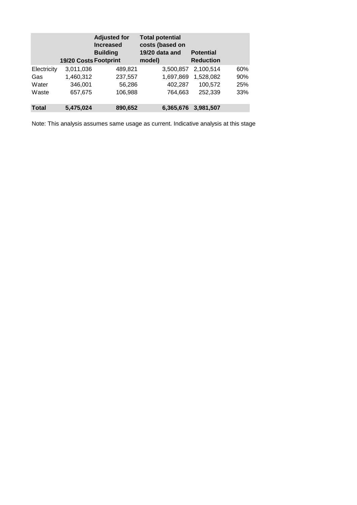|              | 19/20 Costs Footprint | <b>Adjusted for</b><br><b>Increased</b><br><b>Building</b> | <b>Total potential</b><br>costs (based on<br>19/20 data and<br>model) | <b>Potential</b><br><b>Reduction</b> |     |
|--------------|-----------------------|------------------------------------------------------------|-----------------------------------------------------------------------|--------------------------------------|-----|
| Electricity  | 3,011,036             | 489,821                                                    | 3,500,857                                                             | 2,100,514                            | 60% |
| Gas          | 1,460,312             | 237,557                                                    | 1,697,869                                                             | 1,528,082                            | 90% |
| Water        | 346,001               | 56,286                                                     | 402,287                                                               | 100.572                              | 25% |
| Waste        | 657,675               | 106,988                                                    | 764,663                                                               | 252,339                              | 33% |
| <b>Total</b> | 5,475,024             | 890,652                                                    | 6,365,676                                                             | 3,981,507                            |     |

Note: This analysis assumes same usage as current. Indicative analysis at this stage